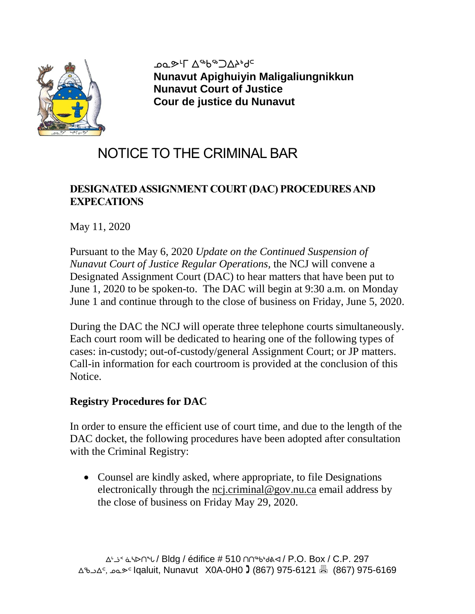

<sub></sub>ܝܘܝܘܪܠ ∆<sup>⊿</sup>⊌ضِ ܐ<del>'</del> **Nunavut Apighuiyin Maligaliungnikkun Nunavut Court of Justice Cour de justice du Nunavut**

# NOTICE TO THE CRIMINAL BAR

# **DESIGNATEDASSIGNMENT COURT(DAC) PROCEDURESAND EXPECATIONS**

May 11, 2020

Pursuant to the May 6, 2020 *Update on the Continued Suspension of Nunavut Court of Justice Regular Operations,* the NCJ will convene a Designated Assignment Court (DAC) to hear matters that have been put to June 1, 2020 to be spoken-to. The DAC will begin at 9:30 a.m. on Monday June 1 and continue through to the close of business on Friday, June 5, 2020.

During the DAC the NCJ will operate three telephone courts simultaneously. Each court room will be dedicated to hearing one of the following types of cases: in-custody; out-of-custody/general Assignment Court; or JP matters. Call-in information for each courtroom is provided at the conclusion of this Notice.

## **Registry Procedures for DAC**

In order to ensure the efficient use of court time, and due to the length of the DAC docket, the following procedures have been adopted after consultation with the Criminal Registry:

• Counsel are kindly asked, where appropriate, to file Designations electronically through the [ncj.criminal@gov.nu.ca](mailto:ncj.criminal@gov.nu.ca) email address by the close of business on Friday May 29, 2020.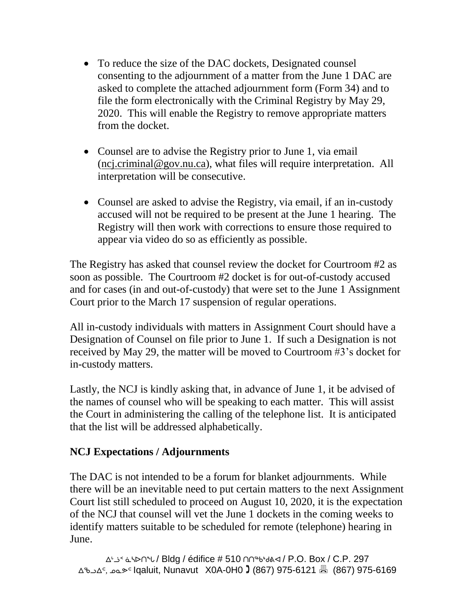- To reduce the size of the DAC dockets, Designated counsel consenting to the adjournment of a matter from the June 1 DAC are asked to complete the attached adjournment form (Form 34) and to file the form electronically with the Criminal Registry by May 29, 2020. This will enable the Registry to remove appropriate matters from the docket.
- Counsel are to advise the Registry prior to June 1, via email [\(ncj.criminal@gov.nu.ca\)](mailto:ncj.criminal@gov.nu.ca), what files will require interpretation. All interpretation will be consecutive.
- Counsel are asked to advise the Registry, via email, if an in-custody accused will not be required to be present at the June 1 hearing. The Registry will then work with corrections to ensure those required to appear via video do so as efficiently as possible.

The Registry has asked that counsel review the docket for Courtroom #2 as soon as possible. The Courtroom #2 docket is for out-of-custody accused and for cases (in and out-of-custody) that were set to the June 1 Assignment Court prior to the March 17 suspension of regular operations.

All in-custody individuals with matters in Assignment Court should have a Designation of Counsel on file prior to June 1. If such a Designation is not received by May 29, the matter will be moved to Courtroom #3's docket for in-custody matters.

Lastly, the NCJ is kindly asking that, in advance of June 1, it be advised of the names of counsel who will be speaking to each matter. This will assist the Court in administering the calling of the telephone list. It is anticipated that the list will be addressed alphabetically.

## **NCJ Expectations / Adjournments**

The DAC is not intended to be a forum for blanket adjournments. While there will be an inevitable need to put certain matters to the next Assignment Court list still scheduled to proceed on August 10, 2020, it is the expectation of the NCJ that counsel will vet the June 1 dockets in the coming weeks to identify matters suitable to be scheduled for remote (telephone) hearing in June.

ᐃᒡᓘᑉ ᓈᓴᐅᑎᖓ / Bldg / édifice # 510 ᑎᑎᖅᑲᒃᑯᕕᐊ / P.O. Box / C.P. 297 ᐃᖃᓗᐃᑦ, ᓄᓇᕗᑦ Iqaluit, Nunavut X0A-0H0 (867) 975-6121 (867) 975-6169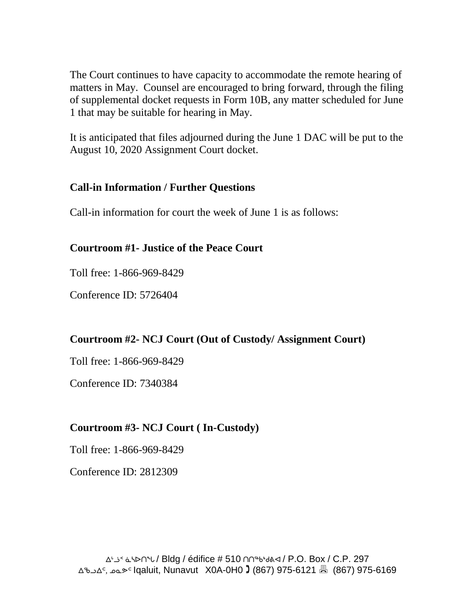The Court continues to have capacity to accommodate the remote hearing of matters in May. Counsel are encouraged to bring forward, through the filing of supplemental docket requests in Form 10B, any matter scheduled for June 1 that may be suitable for hearing in May.

It is anticipated that files adjourned during the June 1 DAC will be put to the August 10, 2020 Assignment Court docket.

## **Call-in Information / Further Questions**

Call-in information for court the week of June 1 is as follows:

### **Courtroom #1- Justice of the Peace Court**

Toll free: 1-866-969-8429

Conference ID: 5726404

### **Courtroom #2- NCJ Court (Out of Custody/ Assignment Court)**

Toll free: 1-866-969-8429

Conference ID: 7340384

## **Courtroom #3- NCJ Court ( In-Custody)**

Toll free: 1-866-969-8429

Conference ID: 2812309